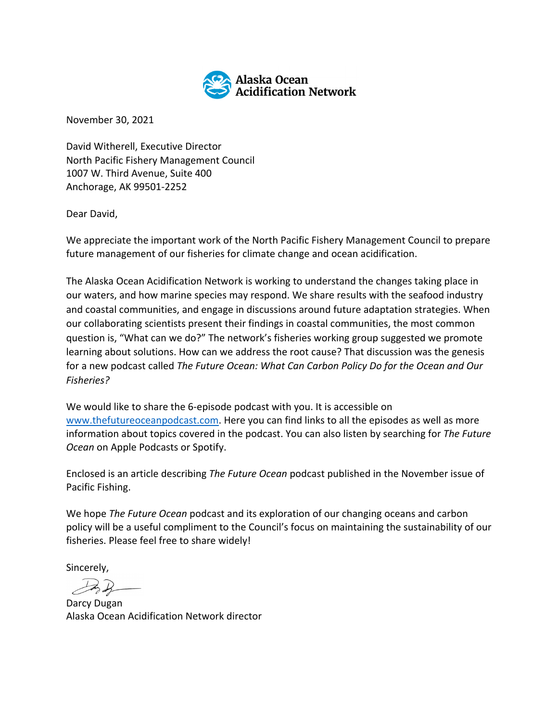

November 30, 2021

David Witherell, Executive Director North Pacific Fishery Management Council 1007 W. Third Avenue, Suite 400 Anchorage, AK 99501-2252

Dear David,

We appreciate the important work of the North Pacific Fishery Management Council to prepare future management of our fisheries for climate change and ocean acidification.

The Alaska Ocean Acidification Network is working to understand the changes taking place in our waters, and how marine species may respond. We share results with the seafood industry and coastal communities, and engage in discussions around future adaptation strategies. When our collaborating scientists present their findings in coastal communities, the most common question is, "What can we do?" The network's fisheries working group suggested we promote learning about solutions. How can we address the root cause? That discussion was the genesis for a new podcast called *The Future Ocean: What Can Carbon Policy Do for the Ocean and Our Fisheries?*

We would like to share the 6-episode podcast with you. It is accessible on www.thefutureoceanpodcast.com. Here you can find links to all the episodes as well as more information about topics covered in the podcast. You can also listen by searching for *The Future Ocean* on Apple Podcasts or Spotify.

Enclosed is an article describing *The Future Ocean* podcast published in the November issue of Pacific Fishing.

We hope *The Future Ocean* podcast and its exploration of our changing oceans and carbon policy will be a useful compliment to the Council's focus on maintaining the sustainability of our fisheries. Please feel free to share widely!

Sincerely,

John

Darcy Dugan Alaska Ocean Acidification Network director